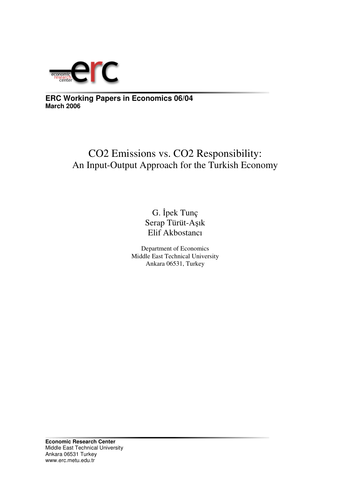

**ERC Working Papers in Economics 06/04 March 2006**

# CO2 Emissions vs. CO2 Responsibility: An Input-Output Approach for the Turkish Economy

G. İpek Tunç Serap Türüt-Aşık Elif Akbostancı

Department of Economics Middle East Technical University Ankara 06531, Turkey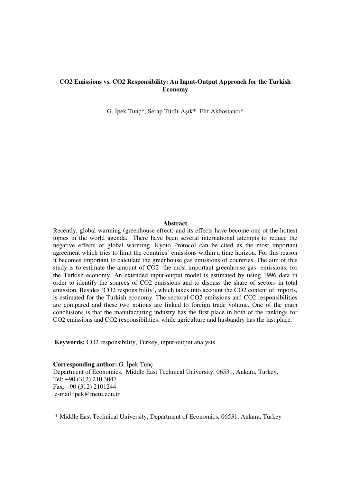## **CO2 Emissions vs. CO2 Responsibility: An Input-Output Approach for the Turkish Economy**

G. İpek Tunç\*, Serap Türüt-Aşık\*, Elif Akbostancı\*

#### **Abstract**

Recently, global warming (greenhouse effect) and its effects have become one of the hottest topics in the world agenda. There have been several international attempts to reduce the negative effects of global warming. Kyoto Protocol can be cited as the most important agreement which tries to limit the countries' emissions within a time horizon. For this reason it becomes important to calculate the greenhouse gas emissions of countries. The aim of this study is to estimate the amount of CO2 -the most important greenhouse gas- emissions, for the Turkish economy. An extended input-output model is estimated by using 1996 data in order to identify the sources of CO2 emissions and to discuss the share of sectors in total emission. Besides 'CO2 responsibility', which takes into account the CO2 content of imports, is estimated for the Turkish economy. The sectoral CO2 emissions and CO2 responsibilities are compared and these two notions are linked to foreign trade volume. One of the main conclusions is that the manufacturing industry has the first place in both of the rankings for CO2 emissions and CO2 responsibilities; while agriculture and husbandry has the last place.

**Keywords:** CO2 responsibility, Turkey, input-output analysis

**Corresponding author:** G. Ipek Tunc Department of Economics, Middle East Technical University, 06531, Ankara, Turkey, Tel: +90 (312) 210 3047 Fax: +90 (312) 2101244 e-mail:ipek@metu.edu.tr

**\*** Middle East Technical University, Department of Economics, 06531, Ankara, Turkey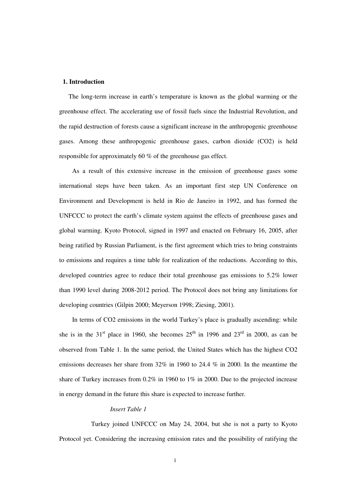#### **1. Introduction**

The long-term increase in earth's temperature is known as the global warming or the greenhouse effect. The accelerating use of fossil fuels since the Industrial Revolution, and the rapid destruction of forests cause a significant increase in the anthropogenic greenhouse gases. Among these anthropogenic greenhouse gases, carbon dioxide (CO2) is held responsible for approximately 60 % of the greenhouse gas effect.

As a result of this extensive increase in the emission of greenhouse gases some international steps have been taken. As an important first step UN Conference on Environment and Development is held in Rio de Janeiro in 1992, and has formed the UNFCCC to protect the earth's climate system against the effects of greenhouse gases and global warming. Kyoto Protocol, signed in 1997 and enacted on February 16, 2005, after being ratified by Russian Parliament, is the first agreement which tries to bring constraints to emissions and requires a time table for realization of the reductions. According to this, developed countries agree to reduce their total greenhouse gas emissions to 5.2% lower than 1990 level during 2008-2012 period. The Protocol does not bring any limitations for developing countries (Gilpin 2000; Meyerson 1998; Ziesing, 2001).

In terms of CO2 emissions in the world Turkey's place is gradually ascending: while she is in the 31<sup>st</sup> place in 1960, she becomes  $25<sup>th</sup>$  in 1996 and  $23<sup>rd</sup>$  in 2000, as can be observed from Table 1. In the same period, the United States which has the highest CO2 emissions decreases her share from 32% in 1960 to 24.4 % in 2000. In the meantime the share of Turkey increases from 0.2% in 1960 to 1% in 2000. Due to the projected increase in energy demand in the future this share is expected to increase further.

#### *Insert Table 1*

Turkey joined UNFCCC on May 24, 2004, but she is not a party to Kyoto Protocol yet. Considering the increasing emission rates and the possibility of ratifying the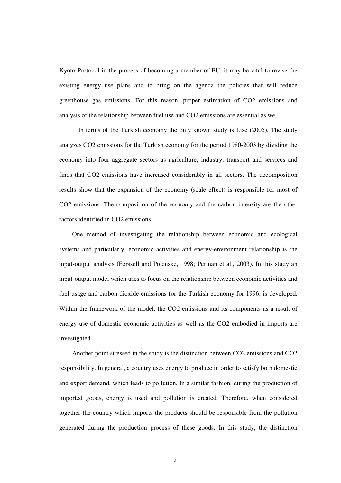Kyoto Protocol in the process of becoming a member of EU, it may be vital to revise the existing energy use plans and to bring on the agenda the policies that will reduce greenhouse gas emissions. For this reason, proper estimation of CO2 emissions and analysis of the relationship between fuel use and CO2 emissions are essential as well.

In terms of the Turkish economy the only known study is Lise (2005). The study analyzes CO2 emissions for the Turkish economy for the period 1980-2003 by dividing the economy into four aggregate sectors as agriculture, industry, transport and services and finds that CO2 emissions have increased considerably in all sectors. The decomposition results show that the expansion of the economy (scale effect) is responsible for most of CO2 emissions. The composition of the economy and the carbon intensity are the other factors identified in CO2 emissions.

One method of investigating the relationship between economic and ecological systems and particularly, economic activities and energy-environment relationship is the input-output analysis (Forssell and Polenske, 1998; Perman et al., 2003). In this study an input-output model which tries to focus on the relationship between economic activities and fuel usage and carbon dioxide emissions for the Turkish economy for 1996, is developed. Within the framework of the model, the CO2 emissions and its components as a result of energy use of domestic economic activities as well as the CO2 embodied in imports are investigated.

Another point stressed in the study is the distinction between CO2 emissions and CO2 responsibility. In general, a country uses energy to produce in order to satisfy both domestic and export demand, which leads to pollution. In a similar fashion, during the production of imported goods, energy is used and pollution is created. Therefore, when considered together the country which imports the products should be responsible from the pollution generated during the production process of these goods. In this study, the distinction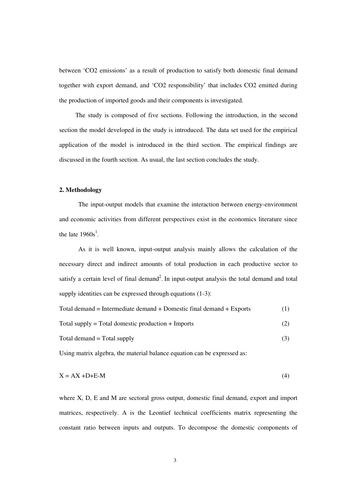between 'CO2 emissions' as a result of production to satisfy both domestic final demand together with export demand, and 'CO2 responsibility' that includes CO2 emitted during the production of imported goods and their components is investigated.

The study is composed of five sections. Following the introduction, in the second section the model developed in the study is introduced. The data set used for the empirical application of the model is introduced in the third section. The empirical findings are discussed in the fourth section. As usual, the last section concludes the study.

#### **2. Methodology**

The input-output models that examine the interaction between energy-environment and economic activities from different perspectives exist in the economics literature since the late  $1960s^1$ .

As it is well known, input-output analysis mainly allows the calculation of the necessary direct and indirect amounts of total production in each productive sector to satisfy a certain level of final demand<sup>2</sup>. In input-output analysis the total demand and total supply identities can be expressed through equations  $(1-3)$ :

| Total demand = Intermediate demand + Domestic final demand + Exports |  |
|----------------------------------------------------------------------|--|
|                                                                      |  |

Total supply = Total domestic production + Imports  $(2)$ 

$$
Total demand = Total supply
$$
\n
$$
(3)
$$

Using matrix algebra, the material balance equation can be expressed as:

$$
X = AX + D + E - M \tag{4}
$$

where X, D, E and M are sectoral gross output, domestic final demand, export and import matrices, respectively. A is the Leontief technical coefficients matrix representing the constant ratio between inputs and outputs. To decompose the domestic components of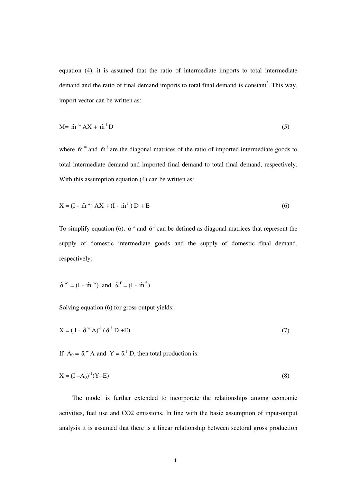equation (4), it is assumed that the ratio of intermediate imports to total intermediate demand and the ratio of final demand imports to total final demand is constant<sup>3</sup>. This way, import vector can be written as:

$$
M = \hat{m}^W A X + \hat{m}^f D \tag{5}
$$

where  $\hat{m}^w$  and  $\hat{m}^f$  are the diagonal matrices of the ratio of imported intermediate goods to total intermediate demand and imported final demand to total final demand, respectively. With this assumption equation (4) can be written as:

$$
X = (I - \hat{m}^{w}) AX + (I - \hat{m}^{f}) D + E
$$
 (6)

To simplify equation (6),  $\hat{\alpha}^w$  and  $\hat{\alpha}^f$  can be defined as diagonal matrices that represent the supply of domestic intermediate goods and the supply of domestic final demand, respectively:

$$
\hat{\alpha}^w = (I - \hat{m}^w)
$$
 and  $\hat{\alpha}^f = (I - \hat{m}^f)$ 

Solving equation (6) for gross output yields:

$$
X = (I - \hat{\alpha}^W A)^{-1} (\hat{\alpha}^f D + E)
$$
\n<sup>(7)</sup>

If  $A_0 = \hat{\alpha}^W A$  and  $Y = \hat{\alpha}^f D$ , then total production is:

$$
X = (I - A_0)^{-1}(Y + E)
$$
 (8)

The model is further extended to incorporate the relationships among economic activities, fuel use and CO2 emissions. In line with the basic assumption of input-output analysis it is assumed that there is a linear relationship between sectoral gross production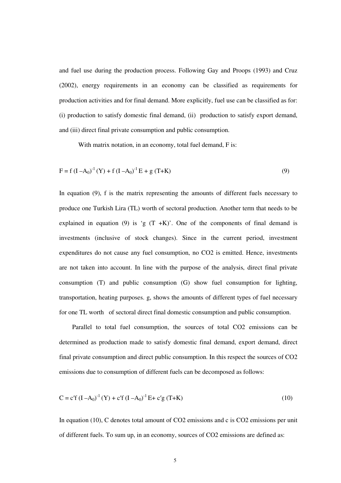and fuel use during the production process. Following Gay and Proops (1993) and Cruz (2002), energy requirements in an economy can be classified as requirements for production activities and for final demand. More explicitly, fuel use can be classified as for: (i) production to satisfy domestic final demand, (ii) production to satisfy export demand, and (iii) direct final private consumption and public consumption.

With matrix notation, in an economy, total fuel demand, F is:

$$
F = f (I - A_0)^{-1} (Y) + f (I - A_0)^{-1} E + g (T+K)
$$
\n(9)

In equation (9), f is the matrix representing the amounts of different fuels necessary to produce one Turkish Lira (TL) worth of sectoral production. Another term that needs to be explained in equation (9) is 'g  $(T + K)$ '. One of the components of final demand is investments (inclusive of stock changes). Since in the current period, investment expenditures do not cause any fuel consumption, no CO2 is emitted. Hence, investments are not taken into account. In line with the purpose of the analysis, direct final private consumption (T) and public consumption (G) show fuel consumption for lighting, transportation, heating purposes. g, shows the amounts of different types of fuel necessary for one TL worth of sectoral direct final domestic consumption and public consumption.

Parallel to total fuel consumption, the sources of total CO2 emissions can be determined as production made to satisfy domestic final demand, export demand, direct final private consumption and direct public consumption. In this respect the sources of CO2 emissions due to consumption of different fuels can be decomposed as follows:

$$
C = c'f (I - A_0)^{-1} (Y) + c'f (I - A_0)^{-1} E + c'g (T+K)
$$
\n(10)

In equation (10), C denotes total amount of CO2 emissions and c is CO2 emissions per unit of different fuels. To sum up, in an economy, sources of CO2 emissions are defined as: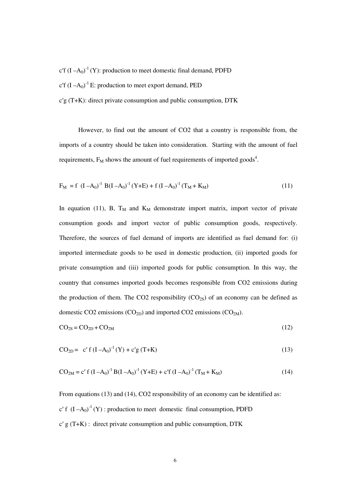c'f  $(I - A_0)^{-1}(Y)$ : production to meet domestic final demand, PDFD

c'f  $(I - A_0)^{-1}$  E: production to meet export demand, PED

 $c'g(T+K)$ : direct private consumption and public consumption, DTK

However, to find out the amount of CO2 that a country is responsible from, the imports of a country should be taken into consideration. Starting with the amount of fuel requirements,  $F_M$  shows the amount of fuel requirements of imported goods<sup>4</sup>.

$$
F_M = f (I - A_0)^{-1} B (I - A_0)^{-1} (Y + E) + f (I - A_0)^{-1} (T_M + K_M)
$$
\n(11)

In equation (11), B,  $T_M$  and  $K_M$  demonstrate import matrix, import vector of private consumption goods and import vector of public consumption goods, respectively. Therefore, the sources of fuel demand of imports are identified as fuel demand for: (i) imported intermediate goods to be used in domestic production, (ii) imported goods for private consumption and (iii) imported goods for public consumption. In this way, the country that consumes imported goods becomes responsible from CO2 emissions during the production of them. The CO2 responsibility  $(CO_{2S})$  of an economy can be defined as domestic CO2 emissions ( $CO<sub>2D</sub>$ ) and imported CO2 emissions ( $CO<sub>2M</sub>$ ).

$$
CO2S = CO2D + CO2M
$$
 (12)

$$
CO_{2D} = c' f (I - A_0)^{-1} (Y) + c' g (T+K)
$$
\n(13)

$$
CO_{2M} = c' f (I - A_0)^{-1} B (I - A_0)^{-1} (Y + E) + c' f (I - A_0)^{-1} (T_M + K_M)
$$
\n(14)

From equations (13) and (14), CO2 responsibility of an economy can be identified as: c' f  $(I - A_0)^{-1}(Y)$ : production to meet domestic final consumption, PDFD  $c' g(T+K)$ : direct private consumption and public consumption, DTK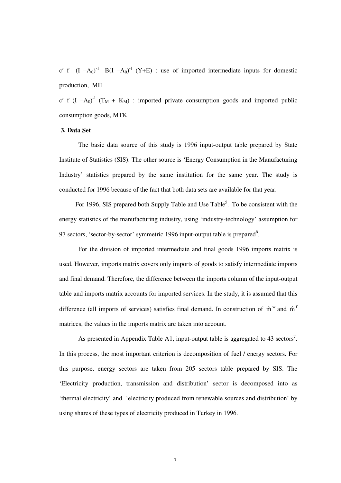c' f  $(I - A_0)^{-1}$  B(I  $-A_0$ )<sup>-1</sup> (Y+E) : use of imported intermediate inputs for domestic production, MII

c' f  $(I - A_0)^{-1}$   $(T_M + K_M)$  : imported private consumption goods and imported public consumption goods, MTK

### **3. Data Set**

The basic data source of this study is 1996 input-output table prepared by State Institute of Statistics (SIS). The other source is 'Energy Consumption in the Manufacturing Industry' statistics prepared by the same institution for the same year. The study is conducted for 1996 because of the fact that both data sets are available for that year.

For 1996, SIS prepared both Supply Table and Use Table<sup>5</sup>. To be consistent with the energy statistics of the manufacturing industry, using 'industry-technology' assumption for 97 sectors, 'sector-by-sector' symmetric 1996 input-output table is prepared<sup>6</sup>.

For the division of imported intermediate and final goods 1996 imports matrix is used. However, imports matrix covers only imports of goods to satisfy intermediate imports and final demand. Therefore, the difference between the imports column of the input-output table and imports matrix accounts for imported services. In the study, it is assumed that this difference (all imports of services) satisfies final demand. In construction of  $\hat{m}^w$  and  $\hat{m}^f$ matrices, the values in the imports matrix are taken into account.

As presented in Appendix Table A1, input-output table is aggregated to 43 sectors<sup>7</sup>. In this process, the most important criterion is decomposition of fuel / energy sectors. For this purpose, energy sectors are taken from 205 sectors table prepared by SIS. The 'Electricity production, transmission and distribution' sector is decomposed into as 'thermal electricity' and 'electricity produced from renewable sources and distribution' by using shares of these types of electricity produced in Turkey in 1996.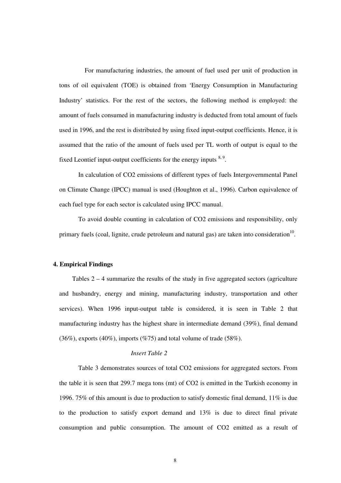For manufacturing industries, the amount of fuel used per unit of production in tons of oil equivalent (TOE) is obtained from 'Energy Consumption in Manufacturing Industry' statistics. For the rest of the sectors, the following method is employed: the amount of fuels consumed in manufacturing industry is deducted from total amount of fuels used in 1996, and the rest is distributed by using fixed input-output coefficients. Hence, it is assumed that the ratio of the amount of fuels used per TL worth of output is equal to the fixed Leontief input-output coefficients for the energy inputs  $8.9$ .

In calculation of CO2 emissions of different types of fuels Intergovernmental Panel on Climate Change (IPCC) manual is used (Houghton et al., 1996). Carbon equivalence of each fuel type for each sector is calculated using IPCC manual.

To avoid double counting in calculation of CO2 emissions and responsibility, only primary fuels (coal, lignite, crude petroleum and natural gas) are taken into consideration<sup>10</sup>.

#### **4. Empirical Findings**

Tables 2 – 4 summarize the results of the study in five aggregated sectors (agriculture and husbandry, energy and mining, manufacturing industry, transportation and other services). When 1996 input-output table is considered, it is seen in Table 2 that manufacturing industry has the highest share in intermediate demand (39%), final demand  $(36\%)$ , exports  $(40\%)$ , imports  $(\%75)$  and total volume of trade  $(58\%)$ .

## *Insert Table 2*

Table 3 demonstrates sources of total CO2 emissions for aggregated sectors. From the table it is seen that 299.7 mega tons (mt) of CO2 is emitted in the Turkish economy in 1996. 75% of this amount is due to production to satisfy domestic final demand, 11% is due to the production to satisfy export demand and 13% is due to direct final private consumption and public consumption. The amount of CO2 emitted as a result of

8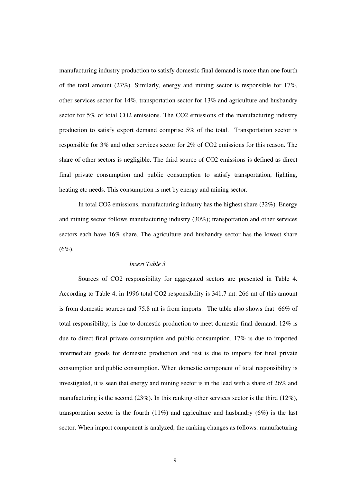manufacturing industry production to satisfy domestic final demand is more than one fourth of the total amount  $(27\%)$ . Similarly, energy and mining sector is responsible for  $17\%$ , other services sector for 14%, transportation sector for 13% and agriculture and husbandry sector for 5% of total CO2 emissions. The CO2 emissions of the manufacturing industry production to satisfy export demand comprise 5% of the total. Transportation sector is responsible for 3% and other services sector for 2% of CO2 emissions for this reason. The share of other sectors is negligible. The third source of CO2 emissions is defined as direct final private consumption and public consumption to satisfy transportation, lighting, heating etc needs. This consumption is met by energy and mining sector.

In total CO2 emissions, manufacturing industry has the highest share (32%). Energy and mining sector follows manufacturing industry (30%); transportation and other services sectors each have 16% share. The agriculture and husbandry sector has the lowest share  $(6\%)$ .

### *Insert Table 3*

Sources of CO2 responsibility for aggregated sectors are presented in Table 4. According to Table 4, in 1996 total CO2 responsibility is 341.7 mt. 266 mt of this amount is from domestic sources and 75.8 mt is from imports. The table also shows that 66% of total responsibility, is due to domestic production to meet domestic final demand, 12% is due to direct final private consumption and public consumption, 17% is due to imported intermediate goods for domestic production and rest is due to imports for final private consumption and public consumption. When domestic component of total responsibility is investigated, it is seen that energy and mining sector is in the lead with a share of 26% and manufacturing is the second (23%). In this ranking other services sector is the third (12%), transportation sector is the fourth  $(11\%)$  and agriculture and husbandry  $(6\%)$  is the last sector. When import component is analyzed, the ranking changes as follows: manufacturing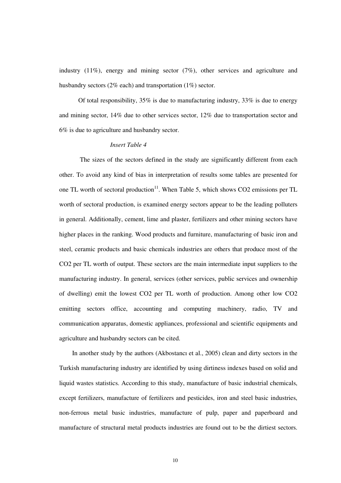industry (11%), energy and mining sector (7%), other services and agriculture and husbandry sectors (2% each) and transportation (1%) sector.

Of total responsibility, 35% is due to manufacturing industry, 33% is due to energy and mining sector, 14% due to other services sector, 12% due to transportation sector and 6% is due to agriculture and husbandry sector.

### *Insert Table 4*

The sizes of the sectors defined in the study are significantly different from each other. To avoid any kind of bias in interpretation of results some tables are presented for one TL worth of sectoral production<sup>11</sup>. When Table 5, which shows CO2 emissions per TL worth of sectoral production, is examined energy sectors appear to be the leading polluters in general. Additionally, cement, lime and plaster, fertilizers and other mining sectors have higher places in the ranking. Wood products and furniture, manufacturing of basic iron and steel, ceramic products and basic chemicals industries are others that produce most of the CO2 per TL worth of output. These sectors are the main intermediate input suppliers to the manufacturing industry. In general, services (other services, public services and ownership of dwelling) emit the lowest CO2 per TL worth of production. Among other low CO2 emitting sectors office, accounting and computing machinery, radio, TV and communication apparatus, domestic appliances, professional and scientific equipments and agriculture and husbandry sectors can be cited.

In another study by the authors (Akbostancı et al., 2005) clean and dirty sectors in the Turkish manufacturing industry are identified by using dirtiness indexes based on solid and liquid wastes statistics. According to this study, manufacture of basic industrial chemicals, except fertilizers, manufacture of fertilizers and pesticides, iron and steel basic industries, non-ferrous metal basic industries, manufacture of pulp, paper and paperboard and manufacture of structural metal products industries are found out to be the dirtiest sectors.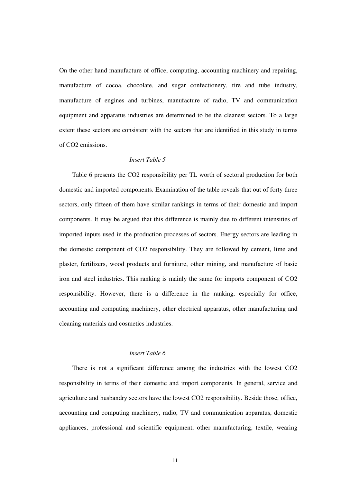On the other hand manufacture of office, computing, accounting machinery and repairing, manufacture of cocoa, chocolate, and sugar confectionery, tire and tube industry, manufacture of engines and turbines, manufacture of radio, TV and communication equipment and apparatus industries are determined to be the cleanest sectors. To a large extent these sectors are consistent with the sectors that are identified in this study in terms of CO2 emissions.

## *Insert Table 5*

Table 6 presents the CO2 responsibility per TL worth of sectoral production for both domestic and imported components. Examination of the table reveals that out of forty three sectors, only fifteen of them have similar rankings in terms of their domestic and import components. It may be argued that this difference is mainly due to different intensities of imported inputs used in the production processes of sectors. Energy sectors are leading in the domestic component of CO2 responsibility. They are followed by cement, lime and plaster, fertilizers, wood products and furniture, other mining, and manufacture of basic iron and steel industries. This ranking is mainly the same for imports component of CO2 responsibility. However, there is a difference in the ranking, especially for office, accounting and computing machinery, other electrical apparatus, other manufacturing and cleaning materials and cosmetics industries.

## *Insert Table 6*

There is not a significant difference among the industries with the lowest CO2 responsibility in terms of their domestic and import components. In general, service and agriculture and husbandry sectors have the lowest CO2 responsibility. Beside those, office, accounting and computing machinery, radio, TV and communication apparatus, domestic appliances, professional and scientific equipment, other manufacturing, textile, wearing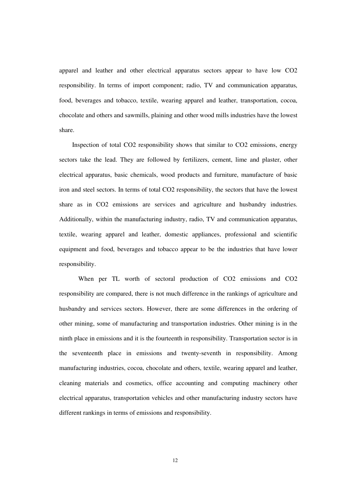apparel and leather and other electrical apparatus sectors appear to have low CO2 responsibility. In terms of import component; radio, TV and communication apparatus, food, beverages and tobacco, textile, wearing apparel and leather, transportation, cocoa, chocolate and others and sawmills, plaining and other wood mills industries have the lowest share.

Inspection of total CO2 responsibility shows that similar to CO2 emissions, energy sectors take the lead. They are followed by fertilizers, cement, lime and plaster, other electrical apparatus, basic chemicals, wood products and furniture, manufacture of basic iron and steel sectors. In terms of total CO2 responsibility, the sectors that have the lowest share as in CO2 emissions are services and agriculture and husbandry industries. Additionally, within the manufacturing industry, radio, TV and communication apparatus, textile, wearing apparel and leather, domestic appliances, professional and scientific equipment and food, beverages and tobacco appear to be the industries that have lower responsibility.

When per TL worth of sectoral production of CO2 emissions and CO2 responsibility are compared, there is not much difference in the rankings of agriculture and husbandry and services sectors. However, there are some differences in the ordering of other mining, some of manufacturing and transportation industries. Other mining is in the ninth place in emissions and it is the fourteenth in responsibility. Transportation sector is in the seventeenth place in emissions and twenty-seventh in responsibility. Among manufacturing industries, cocoa, chocolate and others, textile, wearing apparel and leather, cleaning materials and cosmetics, office accounting and computing machinery other electrical apparatus, transportation vehicles and other manufacturing industry sectors have different rankings in terms of emissions and responsibility.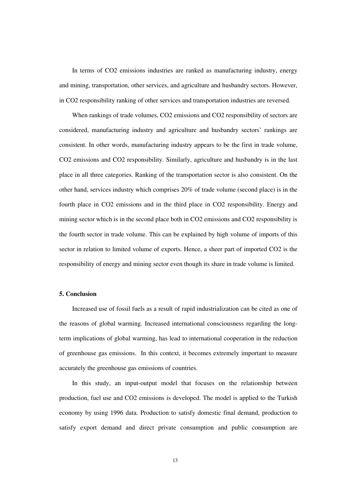In terms of CO2 emissions industries are ranked as manufacturing industry, energy and mining, transportation, other services, and agriculture and husbandry sectors. However, in CO2 responsibility ranking of other services and transportation industries are reversed.

When rankings of trade volumes, CO2 emissions and CO2 responsibility of sectors are considered, manufacturing industry and agriculture and husbandry sectors' rankings are consistent. In other words, manufacturing industry appears to be the first in trade volume, CO2 emissions and CO2 responsibility. Similarly, agriculture and husbandry is in the last place in all three categories. Ranking of the transportation sector is also consistent. On the other hand, services industry which comprises 20% of trade volume (second place) is in the fourth place in CO2 emissions and in the third place in CO2 responsibility. Energy and mining sector which is in the second place both in CO2 emissions and CO2 responsibility is the fourth sector in trade volume. This can be explained by high volume of imports of this sector in relation to limited volume of exports. Hence, a sheer part of imported CO2 is the responsibility of energy and mining sector even though its share in trade volume is limited.

#### **5. Conclusion**

Increased use of fossil fuels as a result of rapid industrialization can be cited as one of the reasons of global warming. Increased international consciousness regarding the longterm implications of global warming, has lead to international cooperation in the reduction of greenhouse gas emissions. In this context, it becomes extremely important to measure accurately the greenhouse gas emissions of countries.

In this study, an input-output model that focuses on the relationship between production, fuel use and CO2 emissions is developed. The model is applied to the Turkish economy by using 1996 data. Production to satisfy domestic final demand, production to satisfy export demand and direct private consumption and public consumption are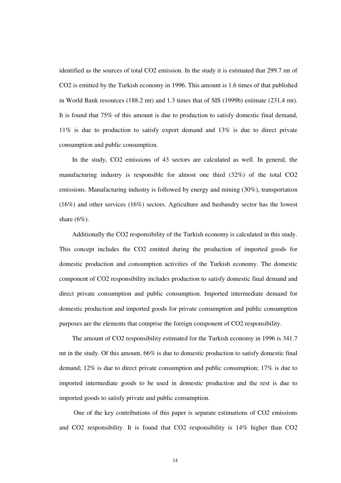identified as the sources of total CO2 emission. In the study it is estimated that 299.7 mt of CO2 is emitted by the Turkish economy in 1996. This amount is 1.6 times of that published in World Bank resources (188.2 mt) and 1.3 times that of SIS (1999b) estimate (231.4 mt). It is found that 75% of this amount is due to production to satisfy domestic final demand, 11% is due to production to satisfy export demand and 13% is due to direct private consumption and public consumption.

In the study, CO2 emissions of 43 sectors are calculated as well. In general, the manufacturing industry is responsible for almost one third (32%) of the total CO2 emissions. Manufacturing industry is followed by energy and mining (30%), transportation (16%) and other services (16%) sectors. Agriculture and husbandry sector has the lowest share  $(6\%)$ .

Additionally the CO2 responsibility of the Turkish economy is calculated in this study. This concept includes the CO2 emitted during the production of imported goods for domestic production and consumption activities of the Turkish economy. The domestic component of CO2 responsibility includes production to satisfy domestic final demand and direct private consumption and public consumption. Imported intermediate demand for domestic production and imported goods for private consumption and public consumption purposes are the elements that comprise the foreign component of CO2 responsibility.

The amount of CO2 responsibility estimated for the Turkish economy in 1996 is 341.7 mt in the study. Of this amount, 66% is due to domestic production to satisfy domestic final demand; 12% is due to direct private consumption and public consumption; 17% is due to imported intermediate goods to be used in domestic production and the rest is due to imported goods to satisfy private and public consumption.

One of the key contributions of this paper is separate estimations of CO2 emissions and CO2 responsibility. It is found that CO2 responsibility is 14% higher than CO2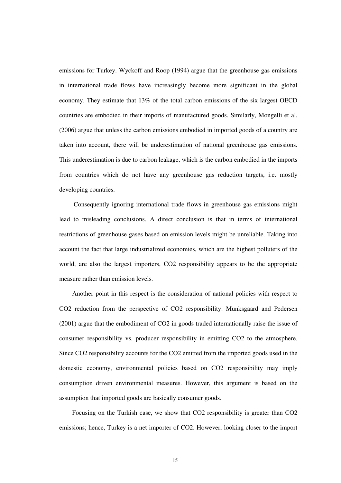emissions for Turkey. Wyckoff and Roop (1994) argue that the greenhouse gas emissions in international trade flows have increasingly become more significant in the global economy. They estimate that 13% of the total carbon emissions of the six largest OECD countries are embodied in their imports of manufactured goods. Similarly, Mongelli et al. (2006) argue that unless the carbon emissions embodied in imported goods of a country are taken into account, there will be underestimation of national greenhouse gas emissions. This underestimation is due to carbon leakage, which is the carbon embodied in the imports from countries which do not have any greenhouse gas reduction targets, i.e. mostly developing countries.

Consequently ignoring international trade flows in greenhouse gas emissions might lead to misleading conclusions. A direct conclusion is that in terms of international restrictions of greenhouse gases based on emission levels might be unreliable. Taking into account the fact that large industrialized economies, which are the highest polluters of the world, are also the largest importers, CO2 responsibility appears to be the appropriate measure rather than emission levels.

Another point in this respect is the consideration of national policies with respect to CO2 reduction from the perspective of CO2 responsibility. Munksgaard and Pedersen (2001) argue that the embodiment of CO2 in goods traded internationally raise the issue of consumer responsibility vs. producer responsibility in emitting CO2 to the atmosphere. Since CO2 responsibility accounts for the CO2 emitted from the imported goods used in the domestic economy, environmental policies based on CO2 responsibility may imply consumption driven environmental measures. However, this argument is based on the assumption that imported goods are basically consumer goods.

Focusing on the Turkish case, we show that CO2 responsibility is greater than CO2 emissions; hence, Turkey is a net importer of CO2. However, looking closer to the import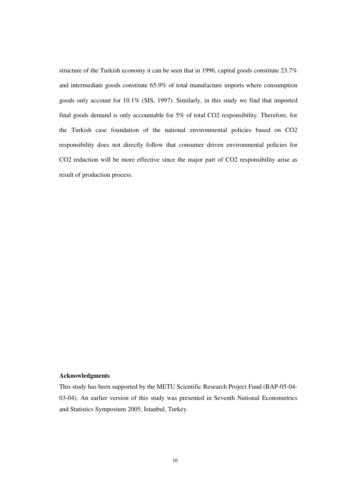structure of the Turkish economy it can be seen that in 1996, capital goods constitute 23.7% and intermediate goods constitute 65.9% of total manufacture imports where consumption goods only account for 10.1% (SIS, 1997). Similarly, in this study we find that imported final goods demand is only accountable for 5% of total CO2 responsibility. Therefore, for the Turkish case foundation of the national environmental policies based on CO2 responsibility does not directly follow that consumer driven environmental policies for CO2 reduction will be more effective since the major part of CO2 responsibility arise as result of production process.

## **Acknowledgments**

This study has been supported by the METU Scientific Research Project Fund (BAP-05-04- 03-04). An earlier version of this study was presented in Seventh National Econometrics and Statistics Symposium 2005, Istanbul, Turkey.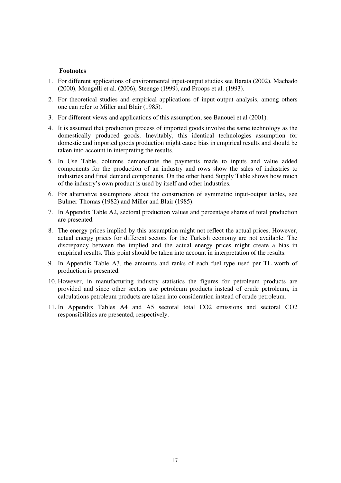#### **Footnotes**

- 1. For different applications of environmental input-output studies see Barata (2002), Machado (2000), Mongelli et al. (2006), Steenge (1999), and Proops et al. (1993).
- 2. For theoretical studies and empirical applications of input-output analysis, among others one can refer to Miller and Blair (1985).
- 3. For different views and applications of this assumption, see Banouei et al (2001).
- 4. It is assumed that production process of imported goods involve the same technology as the domestically produced goods. Inevitably, this identical technologies assumption for domestic and imported goods production might cause bias in empirical results and should be taken into account in interpreting the results.
- 5. In Use Table, columns demonstrate the payments made to inputs and value added components for the production of an industry and rows show the sales of industries to industries and final demand components. On the other hand Supply Table shows how much of the industry's own product is used by itself and other industries.
- 6. For alternative assumptions about the construction of symmetric input-output tables, see Bulmer-Thomas (1982) and Miller and Blair (1985).
- 7. In Appendix Table A2, sectoral production values and percentage shares of total production are presented.
- 8. The energy prices implied by this assumption might not reflect the actual prices. However, actual energy prices for different sectors for the Turkish economy are not available. The discrepancy between the implied and the actual energy prices might create a bias in empirical results. This point should be taken into account in interpretation of the results.
- 9. In Appendix Table A3, the amounts and ranks of each fuel type used per TL worth of production is presented.
- 10. However, in manufacturing industry statistics the figures for petroleum products are provided and since other sectors use petroleum products instead of crude petroleum, in calculations petroleum products are taken into consideration instead of crude petroleum.
- 11. In Appendix Tables A4 and A5 sectoral total CO2 emissions and sectoral CO2 responsibilities are presented, respectively.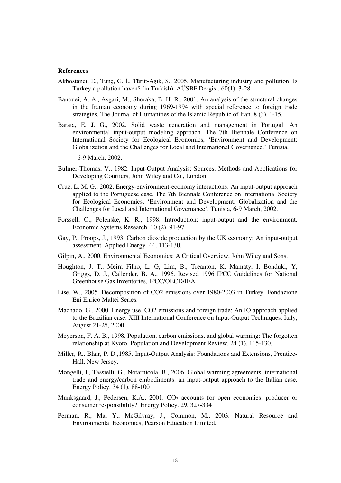#### **References**

- Akbostancı, E., Tunç, G. İ., Türüt-Aşık, S., 2005. Manufacturing industry and pollution: Is Turkey a pollution haven? (in Turkish). AÜSBF Dergisi. 60(1), 3-28.
- Banouei, A. A., Asgari, M., Shoraka, B. H. R., 2001. An analysis of the structural changes in the Iranian economy during 1969-1994 with special reference to foreign trade strategies. The Journal of Humanities of the Islamic Republic of Iran. 8 (3), 1-15.
- Barata, E. J. G., 2002. Solid waste generation and management in Portugal: An environmental input-output modeling approach. The 7th Biennale Conference on International Society for Ecological Economics, 'Environment and Development: Globalization and the Challenges for Local and International Governance.' Tunisia,

6-9 March, 2002.

- Bulmer-Thomas, V., 1982. Input-Output Analysis: Sources, Methods and Applications for Developing Courtiers, John Wiley and Co., London.
- Cruz, L. M. G., 2002. Energy-environment-economy interactions: An input-output approach applied to the Portuguese case. The 7th Biennale Conference on International Society for Ecological Economics, 'Environment and Development: Globalization and the Challenges for Local and International Governance'. Tunisia, 6-9 March, 2002.
- Forssell, O., Polenske, K. R., 1998. Introduction: input-output and the environment. Economic Systems Research. 10 (2), 91-97.
- Gay, P., Proops, J., 1993. Carbon dioxide production by the UK economy: An input-output assessment. Applied Energy. 44, 113-130.
- Gilpin, A., 2000. Environmental Economics: A Critical Overview, John Wiley and Sons.
- Houghton, J. T., Meira Filho, L. G, Lim, B., Treanton, K, Mamaty, I, Bonduki, Y, Griggs, D. J., Callender, B. A., 1996. Revised 1996 IPCC Guidelines for National Greenhouse Gas Inventories, IPCC/OECD/IEA.
- Lise, W., 2005. Decomposition of CO2 emissions over 1980-2003 in Turkey. Fondazione Eni Enrico Maltei Series.
- Machado, G., 2000. Energy use, CO2 emissions and foreign trade: An IO approach applied to the Brazilian case. XIII International Conference on Input-Output Techniques. Italy, August 21-25, 2000.
- Meyerson, F. A. B., 1998. Population, carbon emissions, and global warming: The forgotten relationship at Kyoto. Population and Development Review. 24 (1), 115-130.
- Miller, R., Blair, P. D.,1985. Input-Output Analysis: Foundations and Extensions, Prentice-Hall, New Jersey.
- Mongelli, I., Tassielli, G., Notarnicola, B., 2006. Global warming agreements, international trade and energy/carbon embodiments: an input-output approach to the Italian case. Energy Policy. 34 (1), 88-100
- Munksgaard, J., Pedersen, K.A., 2001.  $CO<sub>2</sub>$  accounts for open economies: producer or consumer responsibility?. Energy Policy. 29, 327-334
- Perman, R., Ma, Y., McGilvray, J., Common, M., 2003. Natural Resource and Environmental Economics, Pearson Education Limited.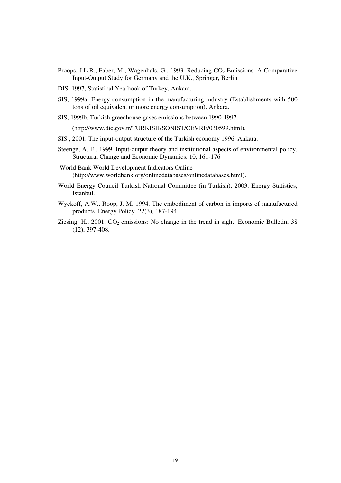- Proops, J.L.R., Faber, M., Wagenhals, G., 1993. Reducing  $CO<sub>2</sub>$  Emissions: A Comparative Input-Output Study for Germany and the U.K., Springer, Berlin.
- DIS, 1997, Statistical Yearbook of Turkey, Ankara.
- SIS, 1999a. Energy consumption in the manufacturing industry (Establishments with 500 tons of oil equivalent or more energy consumption), Ankara.
- SIS, 1999b. Turkish greenhouse gases emissions between 1990-1997.

(http://www.die.gov.tr/TURKISH/SONIST/CEVRE/030599.html).

- SIS , 2001. The input-output structure of the Turkish economy 1996, Ankara.
- Steenge, A. E., 1999. Input-output theory and institutional aspects of environmental policy. Structural Change and Economic Dynamics. 10, 161-176
- World Bank World Development Indicators Online (http://www.worldbank.org/onlinedatabases/onlinedatabases.html).
- World Energy Council Turkish National Committee (in Turkish), 2003. Energy Statistics, Istanbul.
- Wyckoff, A.W., Roop, J. M. 1994. The embodiment of carbon in imports of manufactured products. Energy Policy. 22(3), 187-194
- Ziesing, H., 2001.  $CO_2$  emissions: No change in the trend in sight. Economic Bulletin, 38 (12), 397-408.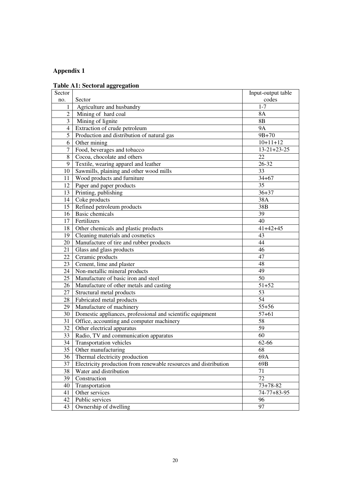## **Appendix 1**

## **Table A1: Sectoral aggregation**

| Sector         |                                                                  | Input-output table  |
|----------------|------------------------------------------------------------------|---------------------|
| no.            | Sector                                                           | codes               |
| 1              | Agriculture and husbandry                                        | $1 - 7$             |
| $\overline{2}$ | Mining of hard coal                                              | 8A                  |
| $\overline{3}$ | Mining of lignite                                                | 8B                  |
| $\overline{4}$ | Extraction of crude petroleum                                    | <b>9A</b>           |
| 5              | Production and distribution of natural gas                       | $9B + 70$           |
| 6              | Other mining                                                     | $10+11+12$          |
| $\overline{7}$ | Food, beverages and tobacco                                      | $13 - 21 + 23 - 25$ |
| 8              | Cocoa, chocolate and others                                      | 22                  |
| 9              | Textile, wearing apparel and leather                             | 26-32               |
| 10             | Sawmills, plaining and other wood mills                          | 33                  |
| 11             | Wood products and furniture                                      | $34 + 67$           |
| 12             | Paper and paper products                                         | 35                  |
| 13             | Printing, publishing                                             | $36 + 37$           |
| 14             | Coke products                                                    | 38A                 |
| 15             | Refined petroleum products                                       | 38B                 |
| 16             | <b>Basic chemicals</b>                                           | 39                  |
| 17             | Fertilizers                                                      | 40                  |
| 18             | Other chemicals and plastic products                             | $41 + 42 + 45$      |
| 19             | Cleaning materials and cosmetics                                 | 43                  |
| 20             | Manufacture of tire and rubber products                          | 44                  |
| 21             | Glass and glass products                                         | 46                  |
| 22             | Ceramic products                                                 | 47                  |
| 23             | Cement, lime and plaster                                         | 48                  |
| 24             | Non-metallic mineral products                                    | 49                  |
| 25             | Manufacture of basic iron and steel                              | 50                  |
| 26             | Manufacture of other metals and casting                          | $51 + 52$           |
| 27             | Structural metal products                                        | 53                  |
| 28             | Fabricated metal products                                        | 54                  |
| 29             | Manufacture of machinery                                         | $55 + 56$           |
| 30             | Domestic appliances, professional and scientific equipment       | $57 + 61$           |
| 31             | Office, accounting and computer machinery                        | 58                  |
| 32             | Other electrical apparatus                                       | 59                  |
| 33             | Radio, TV and communication apparatus                            | 60                  |
| 34             | <b>Transportation vehicles</b>                                   | 62-66               |
| 35             | Other manufacturing                                              | 68                  |
| 36             | Thermal electricity production                                   | 69A                 |
| 37             | Electricity production from renewable resources and distribution | 69B                 |
| 38             | Water and distribution                                           | 71                  |
| 39             | Construction                                                     | 72                  |
| 40             | Transportation                                                   | $73 + 78 - 82$      |
| 41             | Other services                                                   | $74 - 77 + 83 - 95$ |
| 42             | Public services                                                  | 96                  |
| 43             | Ownership of dwelling                                            | 97                  |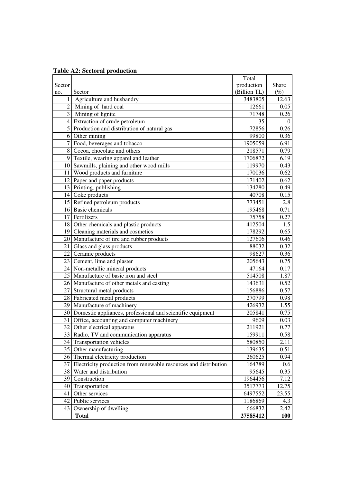|  |  |  | <b>Table A2: Sectoral production</b> |
|--|--|--|--------------------------------------|
|--|--|--|--------------------------------------|

|                 |                                                                     | Total        |          |
|-----------------|---------------------------------------------------------------------|--------------|----------|
| Sector          |                                                                     | production   | Share    |
| no.             | Sector                                                              | (Billion TL) | $(\%)$   |
| $\mathbf{1}$    | Agriculture and husbandry                                           | 3483805      | 12.63    |
| $\overline{2}$  | Mining of hard coal                                                 | 12661        | 0.05     |
|                 | 3 Mining of lignite                                                 | 71748        | 0.26     |
|                 | 4 Extraction of crude petroleum                                     | 35           | $\theta$ |
|                 | 5 Production and distribution of natural gas                        | 72856        | 0.26     |
| 6               | Other mining                                                        | 99800        | 0.36     |
| 7 <sup>1</sup>  | Food, beverages and tobacco                                         | 1905059      | 6.91     |
| $\vert 8 \vert$ | Cocoa, chocolate and others                                         | 218571       | 0.79     |
|                 | 9 Textile, wearing apparel and leather                              | 1706872      | 6.19     |
|                 | 10 Sawmills, plaining and other wood mills                          | 119970       | 0.43     |
|                 | 11 Wood products and furniture                                      | 170036       | 0.62     |
|                 | 12 Paper and paper products                                         | 171402       | 0.62     |
|                 | 13 Printing, publishing                                             | 134280       | 0.49     |
|                 | 14 Coke products                                                    | 40708        | 0.15     |
|                 | 15 Refined petroleum products                                       | 773451       | 2.8      |
|                 | 16 Basic chemicals                                                  | 195468       | 0.71     |
|                 | 17 Fertilizers                                                      | 75758        | 0.27     |
|                 | 18 Other chemicals and plastic products                             | 412504       | 1.5      |
|                 | 19 Cleaning materials and cosmetics                                 | 178292       | 0.65     |
|                 | 20 Manufacture of tire and rubber products                          | 127606       | 0.46     |
|                 | 21 Glass and glass products                                         | 88032        | 0.32     |
|                 | 22 Ceramic products                                                 | 98627        | 0.36     |
|                 | 23 Cement, lime and plaster                                         | 205643       | 0.75     |
|                 | 24 Non-metallic mineral products                                    | 47164        | 0.17     |
|                 | 25   Manufacture of basic iron and steel                            | 514508       | 1.87     |
|                 | 26 Manufacture of other metals and casting                          | 143631       | 0.52     |
|                 | 27 Structural metal products                                        | 156886       | 0.57     |
|                 | 28   Fabricated metal products                                      | 270799       | 0.98     |
|                 | 29 Manufacture of machinery                                         | 426932       | 1.55     |
|                 | 30 Domestic appliances, professional and scientific equipment       | 205841       | 0.75     |
|                 | 31 Office, accounting and computer machinery                        | 9609         | 0.03     |
|                 | 32 Other electrical apparatus                                       | 211921       | 0.77     |
|                 | 33 Radio, TV and communication apparatus                            | 159911       | 0.58     |
|                 | 34 Transportation vehicles                                          | 580850       | 2.11     |
|                 | 35 Other manufacturing                                              | 139635       | 0.51     |
|                 | 36 Thermal electricity production                                   | 260625       | 0.94     |
|                 | 37 Electricity production from renewable resources and distribution | 164789       | 0.6      |
|                 | 38 Water and distribution                                           | 95645        | 0.35     |
| 39              | Construction                                                        | 1964456      | 7.12     |
|                 | 40 Transportation                                                   | 3517773      | 12.75    |
| 41              | Other services                                                      | 6497552      | 23.55    |
| 42              | Public services                                                     | 1186869      | 4.3      |
| 43              | Ownership of dwelling                                               | 666832       | 2.42     |
|                 | <b>Total</b>                                                        | 27585412     | 100      |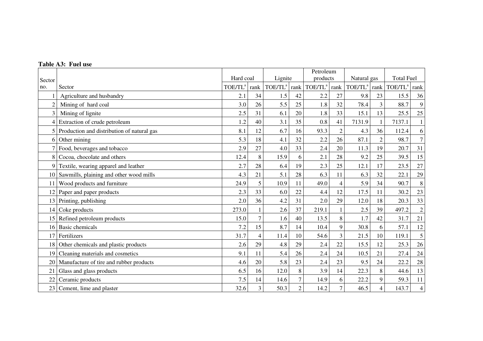|                |                                            |                     |                |                     |                | Petroleum           |                |                     |                |                     |                |
|----------------|--------------------------------------------|---------------------|----------------|---------------------|----------------|---------------------|----------------|---------------------|----------------|---------------------|----------------|
| Sector         |                                            | Hard coal           |                | Lignite             |                | products            |                | Natural gas         |                | <b>Total Fuel</b>   |                |
| no.            | Sector                                     | TOE/TL <sup>a</sup> | rank           | TOE/TL <sup>a</sup> | rank           | TOE/TL <sup>a</sup> | rank           | TOE/TL <sup>a</sup> | rank           | TOE/TL <sup>a</sup> | rank           |
|                | Agriculture and husbandry                  | 2.1                 | 34             | 1.5                 | 42             | 2.2                 | 27             | 9.8                 | 23             | 15.5                | 36             |
| $\overline{2}$ | Mining of hard coal                        | 3.0                 | 26             | 5.5                 | 25             | 1.8                 | 32             | 78.4                | 3              | 88.7                | $\mathbf{9}$   |
| 3              | Mining of lignite                          | 2.5                 | 31             | 6.1                 | 20             | 1.8                 | 33             | 15.1                | 13             | 25.5                | 25             |
| 4              | Extraction of crude petroleum              | 1.2                 | 40             | 3.1                 | 35             | 0.8                 | 41             | 7131.9              | 1              | 7137.1              | $\mathbf{1}$   |
| 5              | Production and distribution of natural gas | 8.1                 | 12             | 6.7                 | 16             | 93.3                | $\overline{2}$ | 4.3                 | 36             | 112.4               | 6              |
| 6              | Other mining                               | 5.3                 | 18             | 4.1                 | 32             | 2.2                 | 26             | 87.1                | $\overline{2}$ | 98.7                | $\overline{7}$ |
|                | Food, beverages and tobacco                | 2.9                 | 27             | 4.0                 | 33             | 2.4                 | 20             | 11.3                | 19             | 20.7                | 31             |
| 8              | Cocoa, chocolate and others                | 12.4                | 8              | 15.9                | 6              | 2.1                 | 28             | 9.2                 | 25             | 39.5                | 15             |
| 9              | Textile, wearing apparel and leather       | 2.7                 | 28             | 6.4                 | 19             | 2.3                 | 25             | 12.1                | 17             | 23.5                | 27             |
| 10             | Sawmills, plaining and other wood mills    | 4.3                 | 21             | 5.1                 | 28             | 6.3                 | 11             | 6.3                 | 32             | 22.1                | 29             |
| 11             | Wood products and furniture                | 24.9                | 5              | 10.9                | 11             | 49.0                | $\overline{4}$ | 5.9                 | 34             | 90.7                | $8\,$          |
| 12             | Paper and paper products                   | 2.3                 | 33             | 6.0                 | 22             | 4.4                 | 12             | 17.5                | 11             | 30.2                | 23             |
| 13             | Printing, publishing                       | 2.0                 | 36             | 4.2                 | 31             | 2.0                 | 29             | 12.0                | 18             | 20.3                | 33             |
| 14             | Coke products                              | 273.0               |                | 2.6                 | 37             | 219.1               |                | 2.5                 | 39             | 497.2               | $\overline{c}$ |
| 15             | Refined petroleum products                 | 15.0                | 7              | 1.6                 | 40             | 13.5                | 8              | 1.7                 | 42             | 31.7                | 21             |
| 16             | <b>Basic chemicals</b>                     | 7.2                 | 15             | 8.7                 | 14             | 10.4                | 9              | 30.8                | 6              | 57.1                | $12\,$         |
| 17             | Fertilizers                                | 31.7                | 4              | 11.4                | 10             | 54.6                | $\overline{3}$ | 21.5                | 10             | 119.1               | 5              |
| 18             | Other chemicals and plastic products       | 2.6                 | 29             | 4.8                 | 29             | 2.4                 | 22             | 15.5                | 12             | 25.3                | 26             |
| 19             | Cleaning materials and cosmetics           | 9.1                 | 11             | 5.4                 | 26             | 2.4                 | 24             | 10.5                | 21             | 27.4                | $24\,$         |
| 20             | Manufacture of tire and rubber products    | 4.6                 | 20             | 5.8                 | 23             | 2.4                 | 23             | 9.5                 | 24             | 22.2                | 28             |
| 21             | Glass and glass products                   | 6.5                 | 16             | 12.0                | 8              | 3.9                 | 14             | 22.3                | 8              | 44.6                | 13             |
| 22             | Ceramic products                           | 7.5                 | 14             | 14.6                | $\tau$         | 14.9                | 6              | 22.2                | 9              | 59.3                | 11             |
| 23             | Cement, lime and plaster                   | 32.6                | $\overline{3}$ | 50.3                | $\overline{2}$ | 14.2                | $\overline{7}$ | 46.5                | $\overline{4}$ | 143.7               | $\overline{4}$ |

#### **Table A3: Fuel use**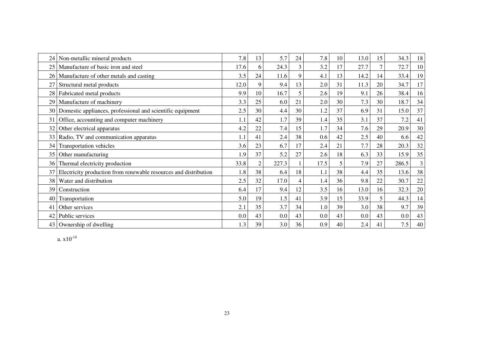| 24 | Non-metallic mineral products                                    | 7.8  | 13 | 5.7   | 24 | 7.8  | 10 | 13.0 | 15              | 34.3  | 18 |
|----|------------------------------------------------------------------|------|----|-------|----|------|----|------|-----------------|-------|----|
| 25 | Manufacture of basic iron and steel                              | 17.6 | 6  | 24.3  | 3  | 3.2  | 17 | 27.7 | $7\overline{ }$ | 72.7  | 10 |
| 26 | Manufacture of other metals and casting                          | 3.5  | 24 | 11.6  | 9  | 4.1  | 13 | 14.2 | 14              | 33.4  | 19 |
| 27 | Structural metal products                                        | 12.0 | 9  | 9.4   | 13 | 2.0  | 31 | 11.3 | 20              | 34.7  | 17 |
| 28 | Fabricated metal products                                        | 9.9  | 10 | 16.7  | 5  | 2.6  | 19 | 9.1  | 26              | 38.4  | 16 |
| 29 | Manufacture of machinery                                         | 3.3  | 25 | 6.0   | 21 | 2.0  | 30 | 7.3  | 30              | 18.7  | 34 |
| 30 | Domestic appliances, professional and scientific equipment       | 2.5  | 30 | 4.4   | 30 | 1.2  | 37 | 6.9  | 31              | 15.0  | 37 |
| 31 | Office, accounting and computer machinery                        | 1.1  | 42 | 1.7   | 39 | 1.4  | 35 | 3.1  | 37              | 7.2   | 41 |
| 32 | Other electrical apparatus                                       | 4.2  | 22 | 7.4   | 15 | 1.7  | 34 | 7.6  | 29              | 20.9  | 30 |
| 33 | Radio, TV and communication apparatus                            | 1.1  | 41 | 2.4   | 38 | 0.6  | 42 | 2.5  | 40              | 6.6   | 42 |
| 34 | Transportation vehicles                                          | 3.6  | 23 | 6.7   | 17 | 2.4  | 21 | 7.7  | 28              | 20.3  | 32 |
| 35 | Other manufacturing                                              | 1.9  | 37 | 5.2   | 27 | 2.6  | 18 | 6.3  | 33              | 15.9  | 35 |
| 36 | Thermal electricity production                                   | 33.8 | 2  | 227.3 |    | 17.5 | 5  | 7.9  | 27              | 286.5 | 3  |
| 37 | Electricity production from renewable resources and distribution | 1.8  | 38 | 6.4   | 18 | 1.1  | 38 | 4.4  | 35              | 13.6  | 38 |
| 38 | Water and distribution                                           | 2.5  | 32 | 17.0  | 4  | 1.4  | 36 | 9.8  | 22              | 30.7  | 22 |
| 39 | Construction                                                     | 6.4  | 17 | 9.4   | 12 | 3.5  | 16 | 13.0 | 16              | 32.3  | 20 |
| 40 | Transportation                                                   | 5.0  | 19 | 1.5   | 41 | 3.9  | 15 | 33.9 | 5               | 44.3  | 14 |
| 41 | Other services                                                   | 2.1  | 35 | 3.7   | 34 | 1.0  | 39 | 3.0  | 38              | 9.7   | 39 |
| 42 | Public services                                                  | 0.0  | 43 | 0.0   | 43 | 0.0  | 43 | 0.0  | 43              | 0.0   | 43 |
|    | 43 Ownership of dwelling                                         | 1.3  | 39 | 3.0   | 36 | 0.9  | 40 | 2.4  | 41              | 7.5   | 40 |

a. x $10^{\text{-}10}$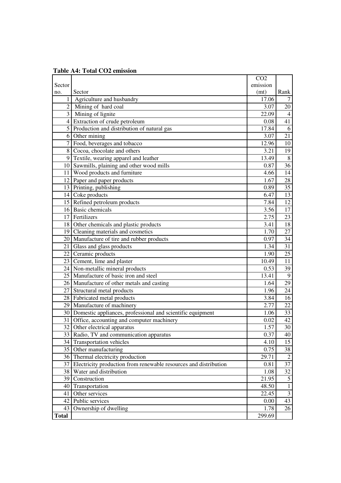| <b>Table A4: Total CO2 emission</b> |  |  |  |
|-------------------------------------|--|--|--|
|-------------------------------------|--|--|--|

|                 |                                                                  | CO <sub>2</sub>   |                         |
|-----------------|------------------------------------------------------------------|-------------------|-------------------------|
| Sector          |                                                                  | emission          |                         |
| no.             | Sector                                                           | (mt)              | Rank                    |
| $\mathbf{1}$    | Agriculture and husbandry                                        | 17.06             | 7                       |
|                 | 2 Mining of hard coal                                            | 3.07              | 20                      |
|                 | 3 Mining of lignite                                              | 22.09             | $\overline{4}$          |
| 4 <sup>1</sup>  | Extraction of crude petroleum                                    | 0.08              | 41                      |
|                 | 5 Production and distribution of natural gas                     | 17.84             | 6                       |
|                 | 6 Other mining                                                   | 3.07              | $\overline{21}$         |
| $\overline{7}$  | Food, beverages and tobacco                                      | 12.96             | 10                      |
|                 | 8 Cocoa, chocolate and others                                    | 3.21              | 19                      |
|                 | 9 Textile, wearing apparel and leather                           | 13.49             | $\overline{8}$          |
|                 | 10 Sawmills, plaining and other wood mills                       | 0.87              | $\overline{36}$         |
|                 | 11 Wood products and furniture                                   | 4.66              | $\overline{14}$         |
|                 | 12 Paper and paper products                                      | 1.67              | 28                      |
|                 | 13 Printing, publishing                                          | 0.89              | $\overline{35}$         |
|                 | 14 Coke products                                                 | 6.47              | 13                      |
|                 | 15 Refined petroleum products                                    | 7.84              | 12                      |
|                 | 16 Basic chemicals                                               | 3.56              | 17                      |
|                 | 17 Fertilizers                                                   | 2.75              | $\overline{23}$         |
|                 | 18 Other chemicals and plastic products                          | 3.41              | $\overline{18}$         |
|                 | 19 Cleaning materials and cosmetics                              | 1.70              | 27                      |
|                 | 20   Manufacture of tire and rubber products                     | 0.97              | 34                      |
|                 | 21 Glass and glass products                                      | $\overline{1.34}$ | $\overline{31}$         |
|                 | 22 Ceramic products                                              | 1.90              | $\overline{25}$         |
|                 | 23 Cement, lime and plaster                                      | 10.49             | 11                      |
|                 | 24 Non-metallic mineral products                                 | 0.53              | 39                      |
|                 | 25 Manufacture of basic iron and steel                           | 13.41             | $\overline{9}$          |
|                 | 26 Manufacture of other metals and casting                       | 1.64              | 29                      |
|                 | 27 Structural metal products                                     | 1.96              | 24                      |
|                 | 28 Fabricated metal products                                     | 3.84              | 16                      |
|                 | 29 Manufacture of machinery                                      | 2.77              | $\overline{22}$         |
|                 | 30 Domestic appliances, professional and scientific equipment    | 1.06              | 33                      |
|                 | 31 Office, accounting and computer machinery                     | 0.02              | 42                      |
|                 | 32 Other electrical apparatus                                    | 1.57              | 30                      |
|                 | 33   Radio, TV and communication apparatus                       | 0.37              | 40                      |
| 34 <sup>1</sup> | <b>Transportation vehicles</b>                                   | 4.10              | 15                      |
|                 | 35 Other manufacturing                                           | 0.75              | 38                      |
|                 | 36 Thermal electricity production                                | 29.71             | $\overline{2}$          |
| 37              | Electricity production from renewable resources and distribution | 0.81              | 37                      |
|                 | 38 Water and distribution                                        | 1.08              | $\overline{32}$         |
|                 | 39 Construction                                                  | 21.95             | $\overline{5}$          |
| 40              | Transportation                                                   | 48.50             | $\overline{1}$          |
| 41              | Other services                                                   | 22.45             | $\overline{\mathbf{3}}$ |
|                 | 42 Public services                                               | 0.00              | 43                      |
| 43              | Ownership of dwelling                                            | 1.78              | 26                      |
| <b>Total</b>    |                                                                  | 299.69            |                         |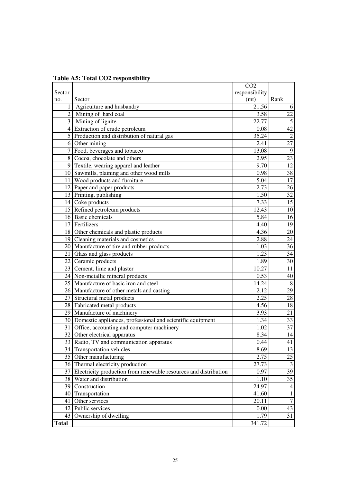|              |                                                                     | CO <sub>2</sub> |                         |
|--------------|---------------------------------------------------------------------|-----------------|-------------------------|
| Sector       |                                                                     | responsibility  |                         |
| no.          | Sector                                                              | (mt)            | Rank                    |
| 1            | Agriculture and husbandry                                           | 21.56           | 6                       |
|              | 2 Mining of hard coal                                               | 3.58            | $\overline{22}$         |
|              | 3 Mining of lignite                                                 | 22.77           | $\overline{5}$          |
|              | 4 Extraction of crude petroleum                                     | 0.08            | 42                      |
|              | 5 Production and distribution of natural gas                        | 35.24           | $\overline{2}$          |
|              | 6 Other mining                                                      | 2.41            | $\overline{27}$         |
|              | Food, beverages and tobacco                                         | 13.08           | $\overline{9}$          |
| 8            | Cocoa, chocolate and others                                         | 2.95            | $\overline{23}$         |
|              | 9 Textile, wearing apparel and leather                              | 9.70            | 12                      |
|              | 10 Sawmills, plaining and other wood mills                          | 0.98            | $\overline{38}$         |
|              | 11 Wood products and furniture                                      | 5.04            | 17                      |
|              | 12 Paper and paper products                                         | 2.73            | 26                      |
|              | 13 Printing, publishing                                             | 1.50            | 32                      |
|              | 14 Coke products                                                    | 7.33            | $\overline{15}$         |
|              | 15 Refined petroleum products                                       | 12.43           | 10                      |
|              | 16 Basic chemicals                                                  | 5.84            | 16                      |
|              | 17 Fertilizers                                                      | 4.40            | 19                      |
|              | 18 Other chemicals and plastic products                             | 4.36            | 20                      |
|              | 19 Cleaning materials and cosmetics                                 | 2.88            | 24                      |
|              | 20 Manufacture of tire and rubber products                          | 1.03            | $\overline{36}$         |
|              | 21 Glass and glass products                                         | 1.23            | 34                      |
|              | 22 Ceramic products                                                 | 1.89            | 30                      |
|              | 23 Cement, lime and plaster                                         | 10.27           | 11                      |
|              | 24 Non-metallic mineral products                                    | 0.53            | 40                      |
|              | 25 Manufacture of basic iron and steel                              | 14.24           | $\overline{8}$          |
|              | 26 Manufacture of other metals and casting                          | 2.12            | 29                      |
|              | 27 Structural metal products                                        | 2.25            | 28                      |
|              | 28 Fabricated metal products                                        | 4.56            | $\overline{18}$         |
|              | 29 Manufacture of machinery                                         | 3.93            | 21                      |
|              | 30 Domestic appliances, professional and scientific equipment       | 1.34            | 33                      |
|              | 31 Office, accounting and computer machinery                        | 1.02            | 37                      |
|              | 32 Other electrical apparatus                                       | 8.34            | $\overline{14}$         |
|              | 33 Radio, TV and communication apparatus                            | 0.44            | 41                      |
|              | 34 Transportation vehicles                                          | 8.69            | 13                      |
|              | 35 Other manufacturing                                              | 2.75            | 25                      |
|              | 36 Thermal electricity production                                   | 27.73           | $\overline{\mathbf{3}}$ |
|              | 37 Electricity production from renewable resources and distribution | 0.97            | $\overline{39}$         |
|              | 38 Water and distribution                                           | 1.10            | 35                      |
|              | 39 Construction                                                     | 24.97           | $\overline{4}$          |
| 40           | Transportation                                                      | 41.60           | $\mathbf{1}$            |
| 41           | Other services                                                      | 20.11           | $\overline{7}$          |
|              | 42 Public services                                                  | 0.00            | 43                      |
| 43           | Ownership of dwelling                                               | 1.79            | 31                      |
| <b>Total</b> |                                                                     | 341.72          |                         |

**Table A5: Total CO2 responsibility**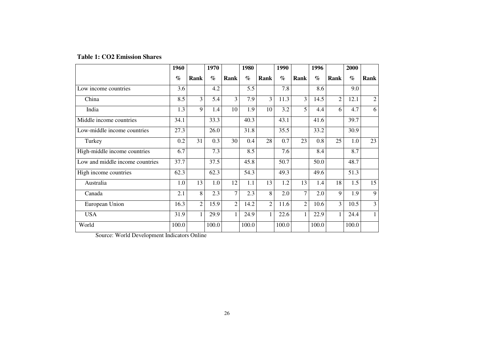|  |  | <b>Table 1: CO2 Emission Shares</b> |  |
|--|--|-------------------------------------|--|
|--|--|-------------------------------------|--|

|                                 | 1960  |                | 1970  |                | 1980  |                | 1990                        |                | 1996  |      | 2000  |                |
|---------------------------------|-------|----------------|-------|----------------|-------|----------------|-----------------------------|----------------|-------|------|-------|----------------|
|                                 | $\%$  | Rank           | $\%$  | <b>Rank</b>    | $\%$  | Rank           | $\mathcal{O}_{\mathcal{O}}$ | Rank           | $\%$  | Rank | $\%$  | Rank           |
| Low income countries            | 3.6   |                | 4.2   |                | 5.5   |                | 7.8                         |                | 8.6   |      | 9.0   |                |
| China                           | 8.5   | 3              | 5.4   | 3              | 7.9   | 3              | 11.3                        | 3              | 14.5  | 2    | 12.1  | $\mathfrak{2}$ |
| India                           | 1.3   | 9              | 1.4   | 10             | 1.9   | 10             | 3.2                         | 5              | 4.4   | 6    | 4.7   | 6              |
| Middle income countries         | 34.1  |                | 33.3  |                | 40.3  |                | 43.1                        |                | 41.6  |      | 39.7  |                |
| Low-middle income countries     | 27.3  |                | 26.0  |                | 31.8  |                | 35.5                        |                | 33.2  |      | 30.9  |                |
| Turkey                          | 0.2   | 31             | 0.3   | 30             | 0.4   | 28             | 0.7                         | 23             | 0.8   | 25   | 1.0   | 23             |
| High-middle income countries    | 6.7   |                | 7.3   |                | 8.5   |                | 7.6                         |                | 8.4   |      | 8.7   |                |
| Low and middle income countries | 37.7  |                | 37.5  |                | 45.8  |                | 50.7                        |                | 50.0  |      | 48.7  |                |
| High income countries           | 62.3  |                | 62.3  |                | 54.3  |                | 49.3                        |                | 49.6  |      | 51.3  |                |
| Australia                       | 1.0   | 13             | 1.0   | 12             | 1.1   | 13             | 1.2                         | 13             | 1.4   | 18   | 1.5   | 15             |
| Canada                          | 2.1   | 8              | 2.3   | 7              | 2.3   | 8              | 2.0                         | 7              | 2.0   | 9    | 1.9   | 9              |
| European Union                  | 16.3  | $\overline{c}$ | 15.9  | $\overline{2}$ | 14.2  | $\overline{2}$ | 11.6                        | $\overline{2}$ | 10.6  | 3    | 10.5  | 3              |
| <b>USA</b>                      | 31.9  | $\mathbf{1}$   | 29.9  | 1              | 24.9  | $\mathbf{1}$   | 22.6                        | 1              | 22.9  |      | 24.4  | $\mathbf{1}$   |
| World                           | 100.0 |                | 100.0 |                | 100.0 |                | 100.0                       |                | 100.0 |      | 100.0 |                |

Source: World Development Indicators Online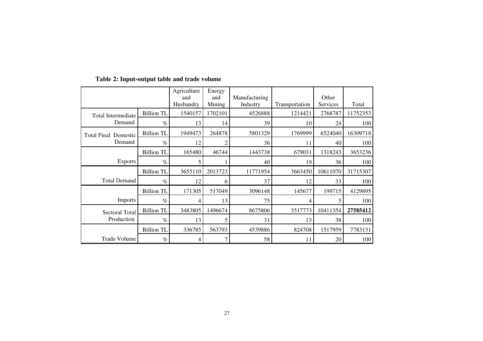|                             |                   | Agriculture<br>and<br>Husbandry | Energy<br>and<br>Mining | Manufacturing<br>Industry | Transportation | Other<br>Services | Total    |
|-----------------------------|-------------------|---------------------------------|-------------------------|---------------------------|----------------|-------------------|----------|
| Total Intermediate          | <b>Billion TL</b> | 1540157                         | 1702101                 | 4526888                   | 1214421        | 2768787           | 11752353 |
| Demand                      | $\%$              | 13                              | 14                      | 39                        | 10             | 24                | 100      |
| <b>Total Final Domestic</b> | <b>Billion TL</b> | 1949473                         | 264878                  | 5801329                   | 1769999        | 6524040           | 16309718 |
| Demand                      | $\%$              | 12                              | $\overline{c}$          | 36                        | 11             | 40                | 100      |
|                             | <b>Billion TL</b> | 165480                          | 46744                   | 1443738                   | 679031         | 1318243           | 3653236  |
| <b>Exports</b>              | $\%$              | 5                               |                         | 40                        | 19             | 36                | 100      |
|                             | <b>Billion TL</b> | 3655110                         | 2013723                 | 11771954                  | 3663450        | 10611070          | 31715307 |
| <b>Total Demand</b>         | $\%$              | 12                              | 6                       | 37                        | 12             | 33                | 100      |
|                             | <b>Billion TL</b> | 171305                          | 517049                  | 3096148                   | 145677         | 199715            | 4129895  |
| <b>Imports</b>              | $\%$              | 4                               | 13                      | 75                        | 4              | 5                 | 100      |
| <b>Sectoral Total</b>       | <b>Billion TL</b> | 3483805                         | 1496674                 | 8675806                   | 3517773        | 10411354          | 27585412 |
| Production                  | $\%$              | 13                              | 5                       | 31                        | 13             | 38                | 100      |
|                             | <b>Billion TL</b> | 336785                          | 563793                  | 4539886                   | 824708         | 1517959           | 7783131  |
| <b>Trade Volume</b>         | $\%$              | 4                               |                         | 58                        | 11             | 20                | 100      |

#### **Table 2: Input-output table and trade volume**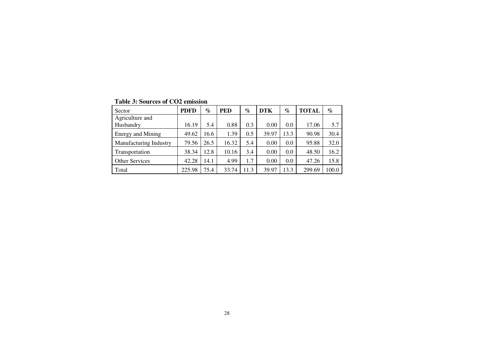| Sector                   | <b>PDFD</b> | $\%$ | <b>PED</b> | $\%$ | <b>DTK</b> | $\%$ | <b>TOTAL</b> | $\%$  |
|--------------------------|-------------|------|------------|------|------------|------|--------------|-------|
| Agriculture and          |             |      |            |      |            |      |              |       |
| Husbandry                | 16.19       | 5.4  | 0.88       | 0.3  | 0.00       | 0.0  | 17.06        | 5.7   |
| <b>Energy and Mining</b> | 49.62       | 16.6 | 1.39       | 0.5  | 39.97      | 13.3 | 90.98        | 30.4  |
| Manufacturing Industry   | 79.56       | 26.5 | 16.32      | 5.4  | 0.00       | 0.0  | 95.88        | 32.0  |
| Transportation           | 38.34       | 12.8 | 10.16      | 3.4  | 0.00       | 0.0  | 48.50        | 16.2  |
| Other Services           | 42.28       | 14.1 | 4.99       | 1.7  | 0.00       | 0.0  | 47.26        | 15.8  |
| Total                    | 225.98      | 75.4 | 33.74      | 11.3 | 39.97      | 13.3 | 299.69       | 100.0 |

**Table 3: Sources of CO2 emission**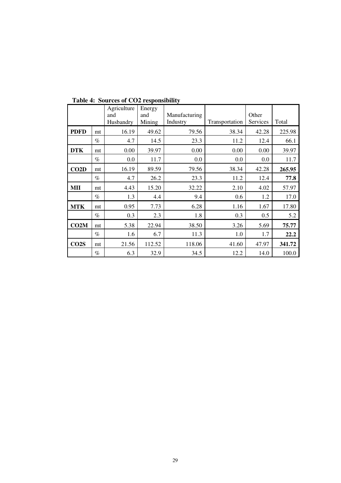|             |      | Agriculture<br>and<br>Husbandry | Energy<br>and<br>Mining | Manufacturing<br>Industry | Transportation | Other<br>Services | Total  |  |
|-------------|------|---------------------------------|-------------------------|---------------------------|----------------|-------------------|--------|--|
| <b>PDFD</b> | mt   | 16.19                           | 49.62                   | 79.56                     | 38.34          | 42.28             | 225.98 |  |
|             | $\%$ | 4.7                             | 14.5                    | 23.3                      | 11.2           | 12.4              | 66.1   |  |
| <b>DTK</b>  | mt   | 0.00                            | 39.97                   | 0.00                      | 0.00           | 0.00              | 39.97  |  |
|             | $\%$ | 0.0                             | 11.7                    | 0.0                       | 0.0            | 0.0               | 11.7   |  |
| CO2D        | mt   | 16.19                           | 89.59                   | 79.56                     | 38.34          | 42.28             | 265.95 |  |
|             | $\%$ | 4.7                             | 26.2                    | 23.3                      | 11.2           | 12.4              | 77.8   |  |
| <b>MII</b>  | mt   | 4.43                            | 15.20                   | 32.22                     | 2.10           | 4.02              | 57.97  |  |
|             | $\%$ | 1.3                             | 4.4                     | 9.4                       | 0.6            | 1.2               | 17.0   |  |
| <b>MTK</b>  | mt   | 0.95                            | 7.73                    | 6.28                      | 1.16           | 1.67              | 17.80  |  |
|             | $\%$ | 0.3                             | 2.3                     | 1.8                       | 0.3            | 0.5               | 5.2    |  |
| CO2M        | mt   | 5.38                            | 22.94                   | 38.50                     | 3.26           | 5.69              | 75.77  |  |
|             | $\%$ | 1.6                             | 6.7                     | 11.3                      | 1.0            | 1.7               | 22.2   |  |
| CO2S        | mt   | 21.56                           | 112.52                  | 118.06                    | 41.60          | 47.97             | 341.72 |  |
|             | $\%$ | 6.3                             | 32.9                    | 34.5                      | 12.2           | 14.0              | 100.0  |  |

**Table 4: Sources of CO2 responsibility**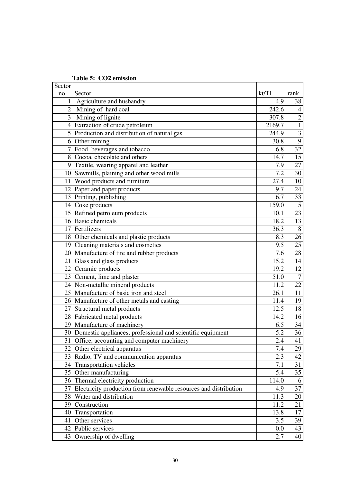| Sector         |                                                                  |                   |                  |
|----------------|------------------------------------------------------------------|-------------------|------------------|
| no.            | Sector                                                           | kt/TL             | rank             |
| $\mathbf{1}$   | Agriculture and husbandry                                        | $\overline{4.9}$  | 38               |
| $\overline{2}$ | Mining of hard coal                                              | 242.6             | $\overline{4}$   |
|                | 3 Mining of lignite                                              | 307.8             | $\overline{2}$   |
| $\overline{4}$ | Extraction of crude petroleum                                    | 2169.7            | $\overline{1}$   |
| 5 <sup>1</sup> | Production and distribution of natural gas                       | 244.9             | $\overline{3}$   |
|                | 6 Other mining                                                   | 30.8              | $\overline{9}$   |
|                | 7 Food, beverages and tobacco                                    | 6.8               | $\overline{32}$  |
| 8 <sup>1</sup> | Cocoa, chocolate and others                                      | 14.7              | 15               |
| $\overline{9}$ | Textile, wearing apparel and leather                             | 7.9               | 27               |
|                | 10 Sawmills, plaining and other wood mills                       | $\overline{7.2}$  | $\overline{30}$  |
|                | 11 Wood products and furniture                                   | $\overline{27.4}$ | $\overline{10}$  |
|                | 12 Paper and paper products                                      | 9.7               | 24               |
|                | 13 Printing, publishing                                          | 6.7               | 33               |
|                | 14 Coke products                                                 | 159.0             | $\overline{5}$   |
|                | 15 Refined petroleum products                                    | 10.1              | 23               |
|                | 16 Basic chemicals                                               | 18.2              | 13               |
|                | 17 Fertilizers                                                   | 36.3              | $\, 8$           |
|                | 18 Other chemicals and plastic products                          | 8.3               | 26               |
|                | 19 Cleaning materials and cosmetics                              | $\overline{9.5}$  | $\overline{25}$  |
|                | 20 Manufacture of tire and rubber products                       | 7.6               | 28               |
|                | 21 Glass and glass products                                      | 15.2              | 14               |
|                | 22 Ceramic products                                              | 19.2              | $\overline{12}$  |
|                | 23 Cement, lime and plaster                                      | 51.0              | $\boldsymbol{7}$ |
|                | 24 Non-metallic mineral products                                 | 11.2              | 22               |
|                | 25 Manufacture of basic iron and steel                           | 26.1              | 11               |
|                | 26 Manufacture of other metals and casting                       | 11.4              | 19               |
|                | 27 Structural metal products                                     | 12.5              | 18               |
|                | 28 Fabricated metal products                                     | 14.2              | 16               |
|                | 29 Manufacture of machinery                                      | 6.5               | 34               |
|                | 30 Domestic appliances, professional and scientific equipment    | $\overline{5.2}$  | $\overline{36}$  |
|                | 31 Office, accounting and computer machinery                     | 2.4               | 41               |
|                | 32 Other electrical apparatus                                    | 7.4               | 29               |
|                | 33 Radio, TV and communication apparatus                         | 2.3               | 42               |
|                | 34 Transportation vehicles                                       | 7.1               | 31               |
|                | 35 Other manufacturing                                           | 5.4               | 35               |
|                | 36 Thermal electricity production                                | 114.0             | 6                |
| 37             | Electricity production from renewable resources and distribution | 4.9               | 37               |
| 38             | Water and distribution                                           | 11.3              | 20               |
|                | 39 Construction                                                  | 11.2              | 21               |
|                | 40 Transportation                                                | 13.8              | 17               |
|                | 41 Other services                                                | 3.5               | 39               |
|                | 42 Public services                                               | 0.0               | 43               |
| 43             | Ownership of dwelling                                            | 2.7               | 40               |

**Table 5: CO2 emission**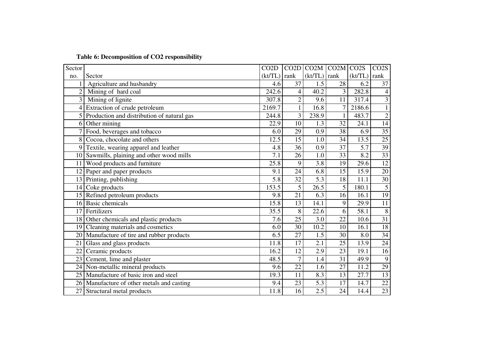|  |  |  | Table 6: Decomposition of CO2 responsibility |  |
|--|--|--|----------------------------------------------|--|
|  |  |  |                                              |  |

| Sector         |                                              | CO <sub>2</sub> D | CO2D            | CO2M CO2M CO2S    |                 |         | CO <sub>2</sub> S |
|----------------|----------------------------------------------|-------------------|-----------------|-------------------|-----------------|---------|-------------------|
| no.            | Sector                                       | (kt/TL)           | rank            | $(kt/TL)$ rank    |                 | (kt/TL) | rank              |
|                | Agriculture and husbandry                    | 4.6               | 37              | 1.5               | 28              | 6.2     | 37                |
| $\overline{2}$ | Mining of hard coal                          | 242.6             | 4               | 40.2              | 3               | 282.8   | $\overline{4}$    |
| $\overline{3}$ | Mining of lignite                            | 307.8             | $\overline{2}$  | 9.6               | 11              | 317.4   | 3                 |
|                | 4 Extraction of crude petroleum              | 2169.7            |                 | 16.8              |                 | 2186.6  |                   |
|                | 5 Production and distribution of natural gas | 244.8             | $\overline{3}$  | 238.9             | $\mathbf{1}$    | 483.7   | $\overline{2}$    |
| 6 <sup>1</sup> | Other mining                                 | 22.9              | 10              | 1.3               | 32              | 24.1    | 14                |
|                | 7 Food, beverages and tobacco                | 6.0               | 29              | 0.9               | 38              | 6.9     | $\overline{35}$   |
|                | 8 Cocoa, chocolate and others                | 12.5              | 15              | 1.0               | $\overline{34}$ | 13.5    | $\overline{25}$   |
| 9              | Textile, wearing apparel and leather         | 4.8               | 36              | 0.9               | 37              | 5.7     | 39                |
|                | 10 Sawmills, plaining and other wood mills   | 7.1               | 26              | 1.0               | 33              | 8.2     | 33                |
| 11             | Wood products and furniture                  | 25.8              | 9               | 3.8               | 19              | 29.6    | $\overline{12}$   |
|                | 12 Paper and paper products                  | 9.1               | 24              | 6.8               | 15              | 15.9    | $\overline{20}$   |
|                | 13 Printing, publishing                      | 5.8               | 32              | 5.3               | 18              | 11.1    | $\overline{30}$   |
|                | 14 Coke products                             | 153.5             | 5               | $\overline{26.5}$ | 5               | 180.1   | $\overline{5}$    |
|                | 15 Refined petroleum products                | 9.8               | 21              | 6.3               | 16              | 16.1    | $\overline{19}$   |
|                | 16 Basic chemicals                           | 15.8              | 13              | 14.1              | 9               | 29.9    | 11                |
|                | 17 Fertilizers                               | 35.5              | 8               | $\overline{22.6}$ | 6               | 58.1    | $\overline{8}$    |
|                | 18 Other chemicals and plastic products      | 7.6               | 25              | 3.0               | $\overline{22}$ | 10.6    | $\overline{31}$   |
|                | 19 Cleaning materials and cosmetics          | 6.0               | $\overline{30}$ | 10.2              | 10              | 16.1    | 18                |
|                | 20 Manufacture of tire and rubber products   | 6.5               | 27              | 1.5               | 30              | 8.0     | $\overline{34}$   |
| 21             | Glass and glass products                     | 11.8              | 17              | 2.1               | 25              | 13.9    | $\overline{24}$   |
| 22             | Ceramic products                             | 16.2              | 12              | 2.9               | 23              | 19.1    | $\overline{16}$   |
|                | 23 Cement, lime and plaster                  | 48.5              |                 | 1.4               | $\overline{31}$ | 49.9    | $\overline{9}$    |
|                | 24 Non-metallic mineral products             | 9.6               | 22              | 1.6               | 27              | 11.2    | 29                |
|                | 25 Manufacture of basic iron and steel       | 19.3              | 11              | 8.3               | 13              | 27.7    | 13                |
|                | 26 Manufacture of other metals and casting   | 9.4               | $\overline{23}$ | 5.3               | 17              | 14.7    | $\overline{22}$   |
|                | 27 Structural metal products                 | 11.8              | $\overline{16}$ | 2.5               | $\overline{24}$ | 14.4    | 23                |